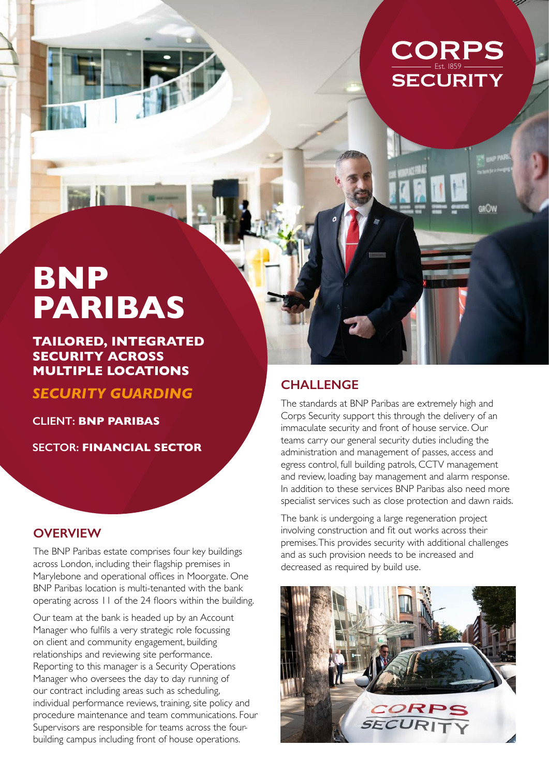

# **BNP PARIBAS**

**TAILORED, INTEGRATED SECURITY ACROSS MULTIPLE LOCATIONS**

*SECURITY GUARDING*

**CLIENT: BNP PARIBAS**

**SECTOR: FINANCIAL SECTOR**

### **OVERVIEW**

The BNP Paribas estate comprises four key buildings across London, including their flagship premises in Marylebone and operational offices in Moorgate. One BNP Paribas location is multi-tenanted with the bank operating across 11 of the 24 floors within the building.

Our team at the bank is headed up by an Account Manager who fulfils a very strategic role focussing on client and community engagement, building relationships and reviewing site performance. Reporting to this manager is a Security Operations Manager who oversees the day to day running of our contract including areas such as scheduling, individual performance reviews, training, site policy and procedure maintenance and team communications. Four Supervisors are responsible for teams across the fourbuilding campus including front of house operations.

## **CHALLENGE**

The standards at BNP Paribas are extremely high and Corps Security support this through the delivery of an immaculate security and front of house service. Our teams carry our general security duties including the administration and management of passes, access and egress control, full building patrols, CCTV management and review, loading bay management and alarm response. In addition to these services BNP Paribas also need more specialist services such as close protection and dawn raids.

The bank is undergoing a large regeneration project involving construction and fit out works across their premises. This provides security with additional challenges and as such provision needs to be increased and decreased as required by build use.